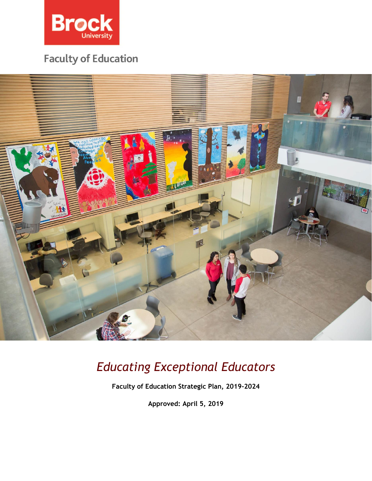

## **Faculty of Education**



# *Educating Exceptional Educators*

**Faculty of Education Strategic Plan, 2019-2024**

**Approved: April 5, 2019**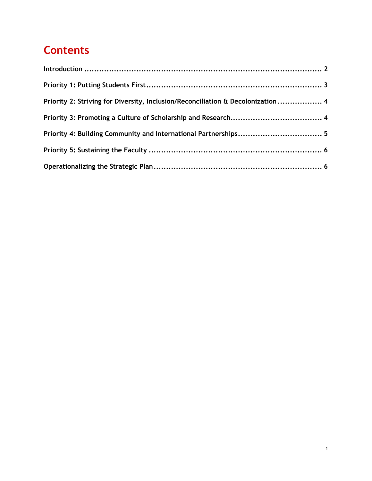## **Contents**

| Priority 2: Striving for Diversity, Inclusion/Reconciliation & Decolonization  4 |  |
|----------------------------------------------------------------------------------|--|
|                                                                                  |  |
|                                                                                  |  |
|                                                                                  |  |
|                                                                                  |  |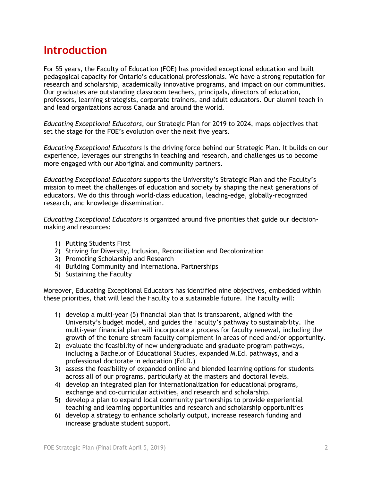## **Introduction**

For 55 years, the Faculty of Education (FOE) has provided exceptional education and built pedagogical capacity for Ontario's educational professionals. We have a strong reputation for research and scholarship, academically innovative programs, and impact on our communities. Our graduates are outstanding classroom teachers, principals, directors of education, professors, learning strategists, corporate trainers, and adult educators. Our alumni teach in and lead organizations across Canada and around the world.

*Educating Exceptional Educators,* our Strategic Plan for 2019 to 2024, maps objectives that set the stage for the FOE's evolution over the next five years.

*Educating Exceptional Educators* is the driving force behind our Strategic Plan. It builds on our experience, leverages our strengths in teaching and research, and challenges us to become more engaged with our Aboriginal and community partners.

*Educating Exceptional Educators* supports the University's Strategic Plan and the Faculty's mission to meet the challenges of education and society by shaping the next generations of educators. We do this through world-class education, leading-edge, globally-recognized research, and knowledge dissemination.

*Educating Exceptional Educators* is organized around five priorities that guide our decisionmaking and resources:

- 1) Putting Students First
- 2) Striving for Diversity, Inclusion, Reconciliation and Decolonization
- 3) Promoting Scholarship and Research
- 4) Building Community and International Partnerships
- 5) Sustaining the Faculty

Moreover, Educating Exceptional Educators has identified nine objectives, embedded within these priorities, that will lead the Faculty to a sustainable future. The Faculty will:

- 1) develop a multi-year (5) financial plan that is transparent, aligned with the University's budget model, and guides the Faculty's pathway to sustainability. The multi-year financial plan will incorporate a process for faculty renewal, including the growth of the tenure-stream faculty complement in areas of need and/or opportunity.
- 2) evaluate the feasibility of new undergraduate and graduate program pathways, including a Bachelor of Educational Studies, expanded M.Ed. pathways, and a professional doctorate in education (Ed.D.)
- 3) assess the feasibility of expanded online and blended learning options for students across all of our programs, particularly at the masters and doctoral levels.
- 4) develop an integrated plan for internationalization for educational programs, exchange and co-curricular activities, and research and scholarship.
- 5) develop a plan to expand local community partnerships to provide experiential teaching and learning opportunities and research and scholarship opportunities
- 6) develop a strategy to enhance scholarly output, increase research funding and increase graduate student support.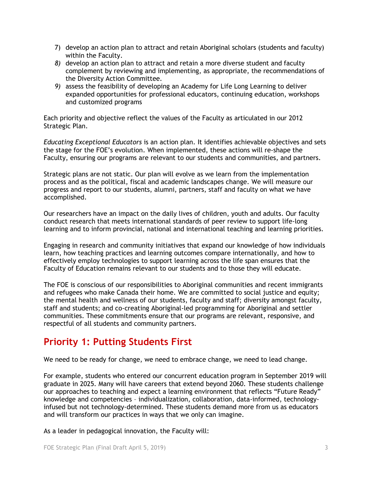- 7) develop an action plan to attract and retain Aboriginal scholars (students and faculty) within the Faculty.
- *8)* develop an action plan to attract and retain a more diverse student and faculty complement by reviewing and implementing, as appropriate, the recommendations of the Diversity Action Committee*.*
- *9)* assess the feasibility of developing an Academy for Life Long Learning to deliver expanded opportunities for professional educators, continuing education, workshops and customized programs

Each priority and objective reflect the values of the Faculty as articulated in our 2012 Strategic Plan.

*Educating Exceptional Educators* is an action plan. It identifies achievable objectives and sets the stage for the FOE's evolution. When implemented, these actions will re-shape the Faculty, ensuring our programs are relevant to our students and communities, and partners.

Strategic plans are not static. Our plan will evolve as we learn from the implementation process and as the political, fiscal and academic landscapes change. We will measure our progress and report to our students, alumni, partners, staff and faculty on what we have accomplished.

Our researchers have an impact on the daily lives of children, youth and adults. Our faculty conduct research that meets international standards of peer review to support life-long learning and to inform provincial, national and international teaching and learning priorities.

Engaging in research and community initiatives that expand our knowledge of how individuals learn, how teaching practices and learning outcomes compare internationally, and how to effectively employ technologies to support learning across the life span ensures that the Faculty of Education remains relevant to our students and to those they will educate.

The FOE is conscious of our responsibilities to Aboriginal communities and recent immigrants and refugees who make Canada their home. We are committed to social justice and equity; the mental health and wellness of our students, faculty and staff; diversity amongst faculty, staff and students; and co-creating Aboriginal-led programming for Aboriginal and settler communities. These commitments ensure that our programs are relevant, responsive, and respectful of all students and community partners.

## **Priority 1: Putting Students First**

We need to be ready for change, we need to embrace change, we need to lead change.

For example, students who entered our concurrent education program in September 2019 will graduate in 2025. Many will have careers that extend beyond 2060. These students challenge our approaches to teaching and expect a learning environment that reflects "Future Ready" knowledge and competencies – individualization, collaboration, data-informed, technologyinfused but not technology-determined. These students demand more from us as educators and will transform our practices in ways that we only can imagine.

As a leader in pedagogical innovation, the Faculty will: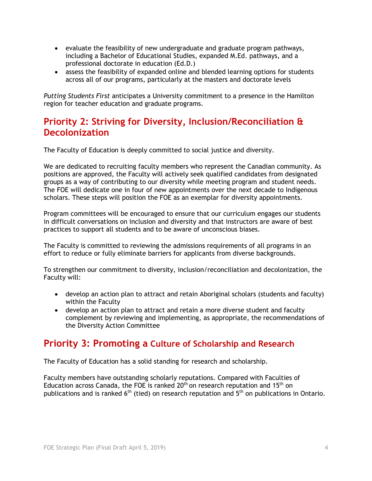- evaluate the feasibility of new undergraduate and graduate program pathways, including a Bachelor of Educational Studies, expanded M.Ed. pathways, and a professional doctorate in education (Ed.D.)
- assess the feasibility of expanded online and blended learning options for students across all of our programs, particularly at the masters and doctorate levels

*Putting Students First* anticipates a University commitment to a presence in the Hamilton region for teacher education and graduate programs.

#### **Priority 2: Striving for Diversity, Inclusion/Reconciliation & Decolonization**

The Faculty of Education is deeply committed to social justice and diversity.

We are dedicated to recruiting faculty members who represent the Canadian community. As positions are approved, the Faculty will actively seek qualified candidates from designated groups as a way of contributing to our diversity while meeting program and student needs. The FOE will dedicate one in four of new appointments over the next decade to Indigenous scholars. These steps will position the FOE as an exemplar for diversity appointments.

Program committees will be encouraged to ensure that our curriculum engages our students in difficult conversations on inclusion and diversity and that instructors are aware of best practices to support all students and to be aware of unconscious biases.

The Faculty is committed to reviewing the admissions requirements of all programs in an effort to reduce or fully eliminate barriers for applicants from diverse backgrounds.

To strengthen our commitment to diversity, inclusion/reconciliation and decolonization, the Faculty will:

- develop an action plan to attract and retain Aboriginal scholars (students and faculty) within the Faculty
- develop an action plan to attract and retain a more diverse student and faculty complement by reviewing and implementing, as appropriate, the recommendations of the Diversity Action Committee

#### **Priority 3: Promoting a Culture of Scholarship and Research**

The Faculty of Education has a solid standing for research and scholarship.

Faculty members have outstanding scholarly reputations. Compared with Faculties of Education across Canada, the FOE is ranked  $20<sup>th</sup>$  on research reputation and 15<sup>th</sup> on publications and is ranked  $6<sup>th</sup>$  (tied) on research reputation and  $5<sup>th</sup>$  on publications in Ontario.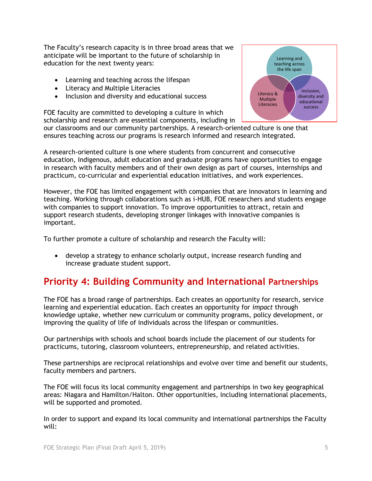The Faculty's research capacity is in three broad areas that we anticipate will be important to the future of scholarship in education for the next twenty years:

- Learning and teaching across the lifespan
- Literacy and Multiple Literacies
- Inclusion and diversity and educational success

FOE faculty are committed to developing a culture in which scholarship and research are essential components, including in

Learning and teaching across the life span Inclusion, diversity and educational success Literacy & Multiple Literacies

our classrooms and our community partnerships. A research-oriented culture is one that ensures teaching across our programs is research informed and research integrated.

A research-oriented culture is one where students from concurrent and consecutive education, Indigenous, adult education and graduate programs have opportunities to engage in research with faculty members and of their own design as part of courses, internships and practicum, co-curricular and experiential education initiatives, and work experiences.

However, the FOE has limited engagement with companies that are innovators in learning and teaching. Working through collaborations such as i-HUB, FOE researchers and students engage with companies to support innovation. To improve opportunities to attract, retain and support research students, developing stronger linkages with innovative companies is important.

To further promote a culture of scholarship and research the Faculty will:

• develop a strategy to enhance scholarly output, increase research funding and increase graduate student support.

## **Priority 4: Building Community and International Partnerships**

The FOE has a broad range of partnerships. Each creates an opportunity for research, service learning and experiential education. Each creates an opportunity for *impact* through knowledge uptake, whether new curriculum or community programs, policy development, or improving the quality of life of individuals across the lifespan or communities.

Our partnerships with schools and school boards include the placement of our students for practicums, tutoring, classroom volunteers, entrepreneurship, and related activities.

These partnerships are reciprocal relationships and evolve over time and benefit our students, faculty members and partners.

The FOE will focus its local community engagement and partnerships in two key geographical areas: Niagara and Hamilton/Halton. Other opportunities, including international placements, will be supported and promoted.

In order to support and expand its local community and international partnerships the Faculty will: